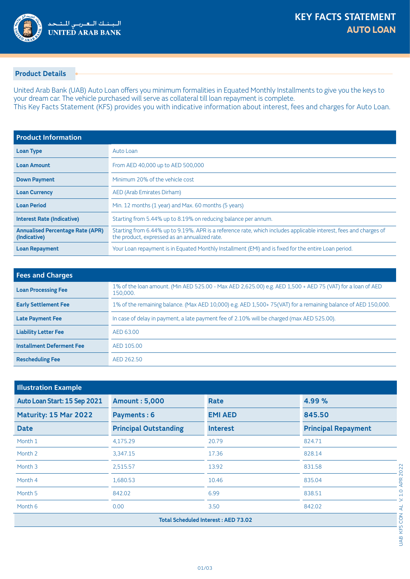

## **Product Details**

United Arab Bank (UAB) Auto Loan offers you minimum formalities in Equated Monthly Installments to give you the keys to your dream car. The vehicle purchased will serve as collateral till loan repayment is complete. This Key Facts Statement (KFS) provides you with indicative information about interest, fees and charges for Auto Loan.

| <b>Product Information</b>                              |                                                                                                                                                                    |
|---------------------------------------------------------|--------------------------------------------------------------------------------------------------------------------------------------------------------------------|
| <b>Loan Type</b>                                        | Auto Loan                                                                                                                                                          |
| <b>Loan Amount</b>                                      | From AED 40,000 up to AED 500,000                                                                                                                                  |
| <b>Down Payment</b>                                     | Minimum 20% of the vehicle cost                                                                                                                                    |
| <b>Loan Currency</b>                                    | AED (Arab Emirates Dirham)                                                                                                                                         |
| <b>Loan Period</b>                                      | Min. 12 months (1 year) and Max. 60 months (5 years)                                                                                                               |
| <b>Interest Rate (Indicative)</b>                       | Starting from 5.44% up to 8.19% on reducing balance per annum.                                                                                                     |
| <b>Annualised Percentage Rate (APR)</b><br>(Indicative) | Starting from 6.44% up to 9.19%. APR is a reference rate, which includes applicable interest, fees and charges of<br>the product, expressed as an annualized rate. |
| <b>Loan Repayment</b>                                   | Your Loan repayment is in Equated Monthly Installment (EMI) and is fixed for the entire Loan period.                                                               |

| <b>Fees and Charges</b>          |                                                                                                                        |  |  |
|----------------------------------|------------------------------------------------------------------------------------------------------------------------|--|--|
| <b>Loan Processing Fee</b>       | 1% of the loan amount. (Min AED 525.00 - Max AED 2,625.00) e.g. AED 1,500 + AED 75 (VAT) for a loan of AED<br>150,000. |  |  |
| <b>Early Settlement Fee</b>      | 1% of the remaining balance. (Max AED 10,000) e.g. AED 1,500+75(VAT) for a remaining balance of AED 150,000.           |  |  |
| <b>Late Payment Fee</b>          | In case of delay in payment, a late payment fee of 2.10% will be charged (max AED 525.00).                             |  |  |
| <b>Liability Letter Fee</b>      | AED 63.00                                                                                                              |  |  |
| <b>Installment Deferment Fee</b> | AED 105.00                                                                                                             |  |  |
| <b>Rescheduling Fee</b>          | AED 262.50                                                                                                             |  |  |

| <b>Illustration Example</b>                |                              |                |                            |  |  |
|--------------------------------------------|------------------------------|----------------|----------------------------|--|--|
| Auto Loan Start: 15 Sep 2021               | <b>Amount: 5,000</b>         | Rate           | 4.99%                      |  |  |
| Maturity: 15 Mar 2022                      | <b>Payments: 6</b>           | <b>EMI AED</b> | 845.50                     |  |  |
| <b>Date</b>                                | <b>Principal Outstanding</b> | Interest       | <b>Principal Repayment</b> |  |  |
| Month 1                                    | 4,175.29                     | 20.79          | 824.71                     |  |  |
| Month 2                                    | 3,347.15                     | 17.36          | 828.14                     |  |  |
| Month 3                                    | 2,515.57                     | 13.92          | 831.58                     |  |  |
| Month 4                                    | 1,680.53                     | 10.46          | 835.04                     |  |  |
| Month 5                                    | 842.02                       | 6.99           | 838.51                     |  |  |
| Month 6                                    | 0.00                         | 3.50           | 842.02                     |  |  |
| <b>Total Scheduled Interest: AED 73.02</b> |                              |                |                            |  |  |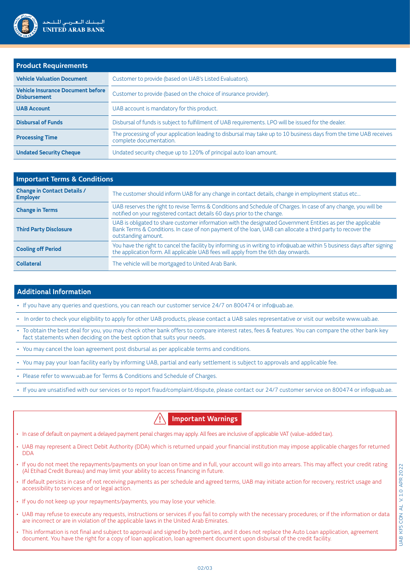

| <b>Product Requirements</b>                                     |                                                                                                                                               |  |  |  |
|-----------------------------------------------------------------|-----------------------------------------------------------------------------------------------------------------------------------------------|--|--|--|
| <b>Vehicle Valuation Document</b>                               | Customer to provide (based on UAB's Listed Evaluators).                                                                                       |  |  |  |
| <b>Vehicle Insurance Document before</b><br><b>Disbursement</b> | Customer to provide (based on the choice of insurance provider).                                                                              |  |  |  |
| <b>UAB Account</b>                                              | UAB account is mandatory for this product.                                                                                                    |  |  |  |
| <b>Disbursal of Funds</b>                                       | Disbursal of funds is subject to fulfillment of UAB requirements. LPO will be issued for the dealer.                                          |  |  |  |
| <b>Processing Time</b>                                          | The processing of your application leading to disbursal may take up to 10 business days from the time UAB receives<br>complete documentation. |  |  |  |
| <b>Undated Security Cheque</b>                                  | Undated security cheque up to 120% of principal auto loan amount.                                                                             |  |  |  |

| <b>Important Terms &amp; Conditions</b>               |                                                                                                                                                                                                                                                   |  |  |  |
|-------------------------------------------------------|---------------------------------------------------------------------------------------------------------------------------------------------------------------------------------------------------------------------------------------------------|--|--|--|
| <b>Change in Contact Details /</b><br><b>Employer</b> | The customer should inform UAB for any change in contact details, change in employment status etc                                                                                                                                                 |  |  |  |
| <b>Change in Terms</b>                                | UAB reserves the right to revise Terms & Conditions and Schedule of Charges. In case of any change, you will be<br>notified on your registered contact details 60 days prior to the change.                                                       |  |  |  |
| <b>Third Party Disclosure</b>                         | UAB is obligated to share customer information with the designated Government Entities as per the applicable<br>Bank Terms & Conditions. In case of non payment of the loan, UAB can allocate a third party to recover the<br>outstanding amount. |  |  |  |
| <b>Cooling off Period</b>                             | You have the right to cancel the facility by informing us in writing to info@uab.ae within 5 business days after signing<br>the application form. All applicable UAB fees will apply from the 6th day onwards.                                    |  |  |  |
| <b>Collateral</b>                                     | The vehicle will be mortgaged to United Arab Bank.                                                                                                                                                                                                |  |  |  |

## **Additional Information**

. If you have any queries and questions, you can reach our customer service 24/7 on 800474 or info@uab.ae.

. In order to check your eligibility to apply for other UAB products, please contact a UAB sales representative or visit our website www.uab.ae

- To obtain the best deal for you, you may check other bank offers to compare interest rates, fees & features. You can compare the other bank key fact statements when deciding on the best option that suits your needs.
- You may cancel the loan agreement post disbursal as per applicable terms and conditions.
- . You may pay your loan facility early by informing UAB, partial and early settlement is subject to approvals and applicable fee.
- . Please refer to www.uab.ae for Terms & Conditions and Schedule of Charges.
- . If you are unsatisfied with our services or to report fraud/complaint/dispute, please contact our 24/7 customer service on 800474 or info@uab.ae.

**Important Warnings** 

- . In case of default on payment a delayed payment penal charges may apply. All fees are inclusive of applicable VAT (value-added tax).
- UAB may represent a Direct Debit Authority (DDA) which is returned unpaid ,your financial institution may impose applicable charges for returned DDA
- · If you do not meet the repayments/payments on your loan on time and in full, your account will go into arrears. This may affect your credit rating  $\alpha$  (Al Etihad Credit Bureau) and may limit your ability to access financing in future.
- If default persists in case of not receiving payments as per schedule and agreed terms, UAB may initiate action for recovery, restrict usage and accessibility to services and or legal action.
- . If you do not keep up your repayments/payments, you may lose your vehicle.
- UAB may refuse to execute any requests, instructions or services if you fail to comply with the necessary procedures; or if the information or data are incorrect or are in violation of the applicable laws in the United Arab Emirates.
- This information is not final and subject to approval and signed by both parties, and it does not replace the Auto Loan application, agreement document. You have the right for a copy of loan application, loan agreement document upon disbursal of the credit facility.